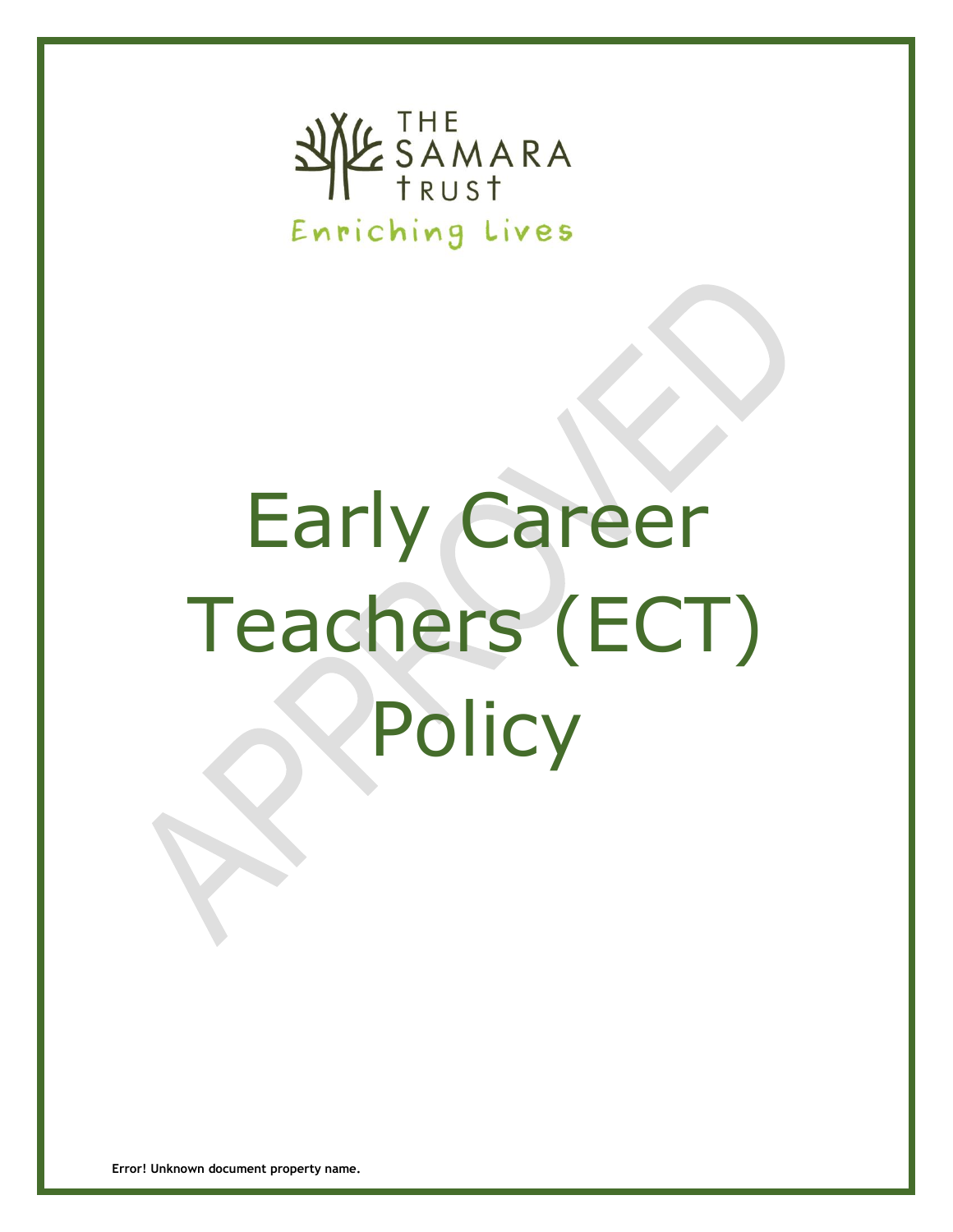

# Early Career Teachers (ECT) **Policy**

**Error! Unknown document property name.**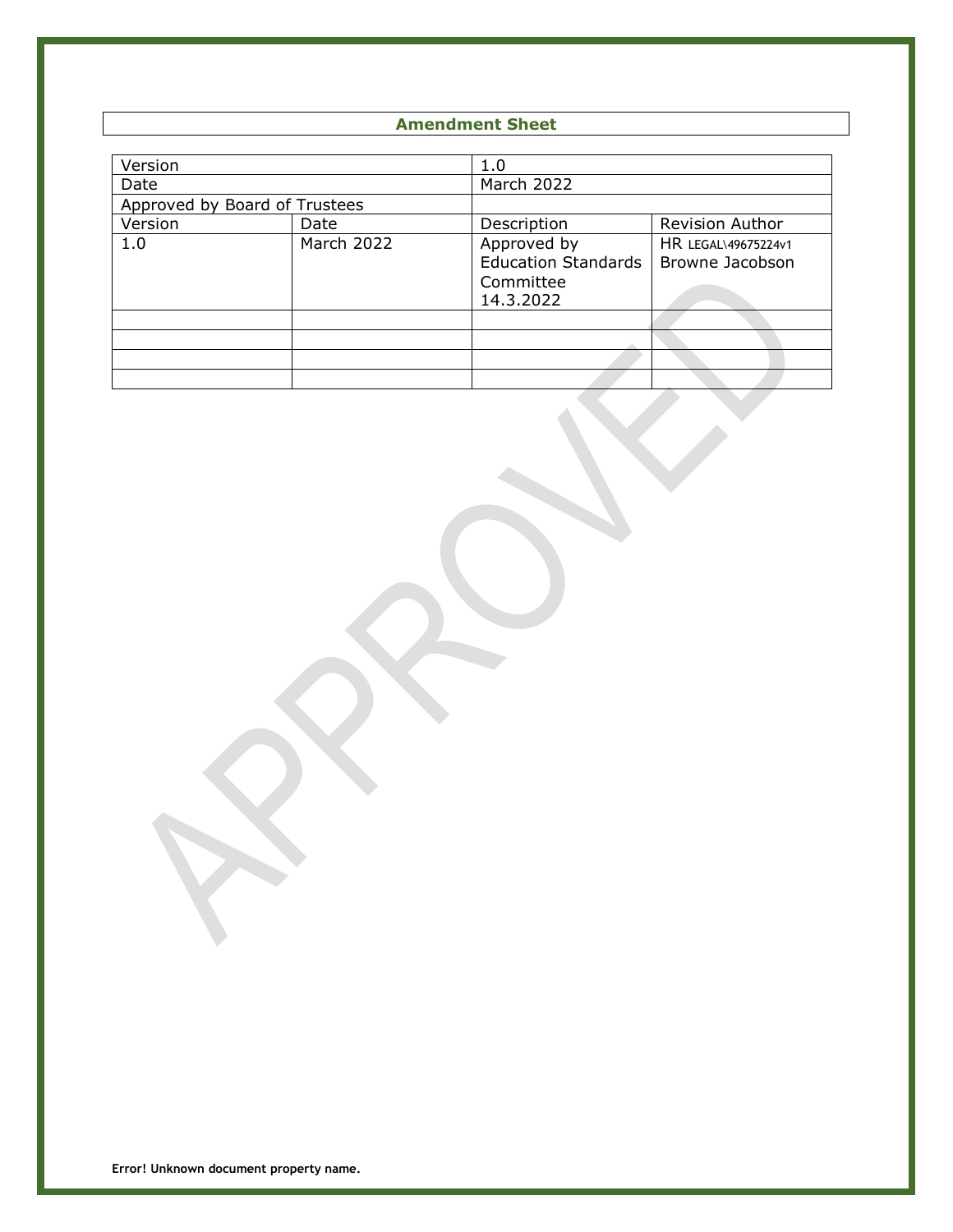# **Amendment Sheet**

| Version                       |            | 1.0                                                                 |                                        |
|-------------------------------|------------|---------------------------------------------------------------------|----------------------------------------|
| Date                          |            | March 2022                                                          |                                        |
| Approved by Board of Trustees |            |                                                                     |                                        |
| Version                       | Date       | Description                                                         | Revision Author                        |
| 1.0                           | March 2022 | Approved by<br><b>Education Standards</b><br>Committee<br>14.3.2022 | HR LEGAL\49675224v1<br>Browne Jacobson |
|                               |            |                                                                     |                                        |
|                               |            |                                                                     |                                        |
|                               |            |                                                                     |                                        |
|                               |            |                                                                     |                                        |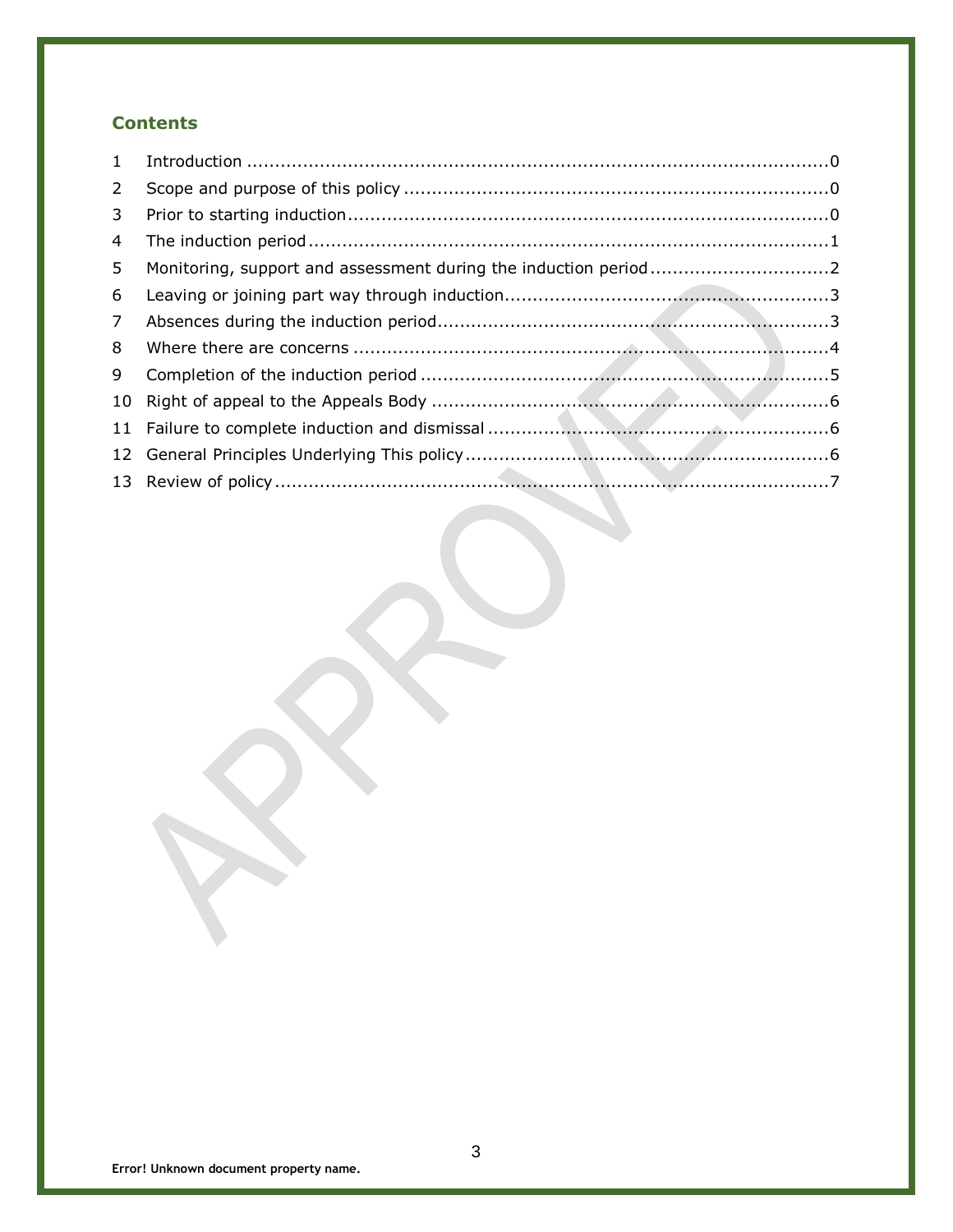# **Contents**

| 1              |  |
|----------------|--|
| $2^{\circ}$    |  |
| 3              |  |
| 4              |  |
| 5 <sup>1</sup> |  |
| 6              |  |
| $\overline{7}$ |  |
| 8              |  |
| 9              |  |
|                |  |
|                |  |
|                |  |
|                |  |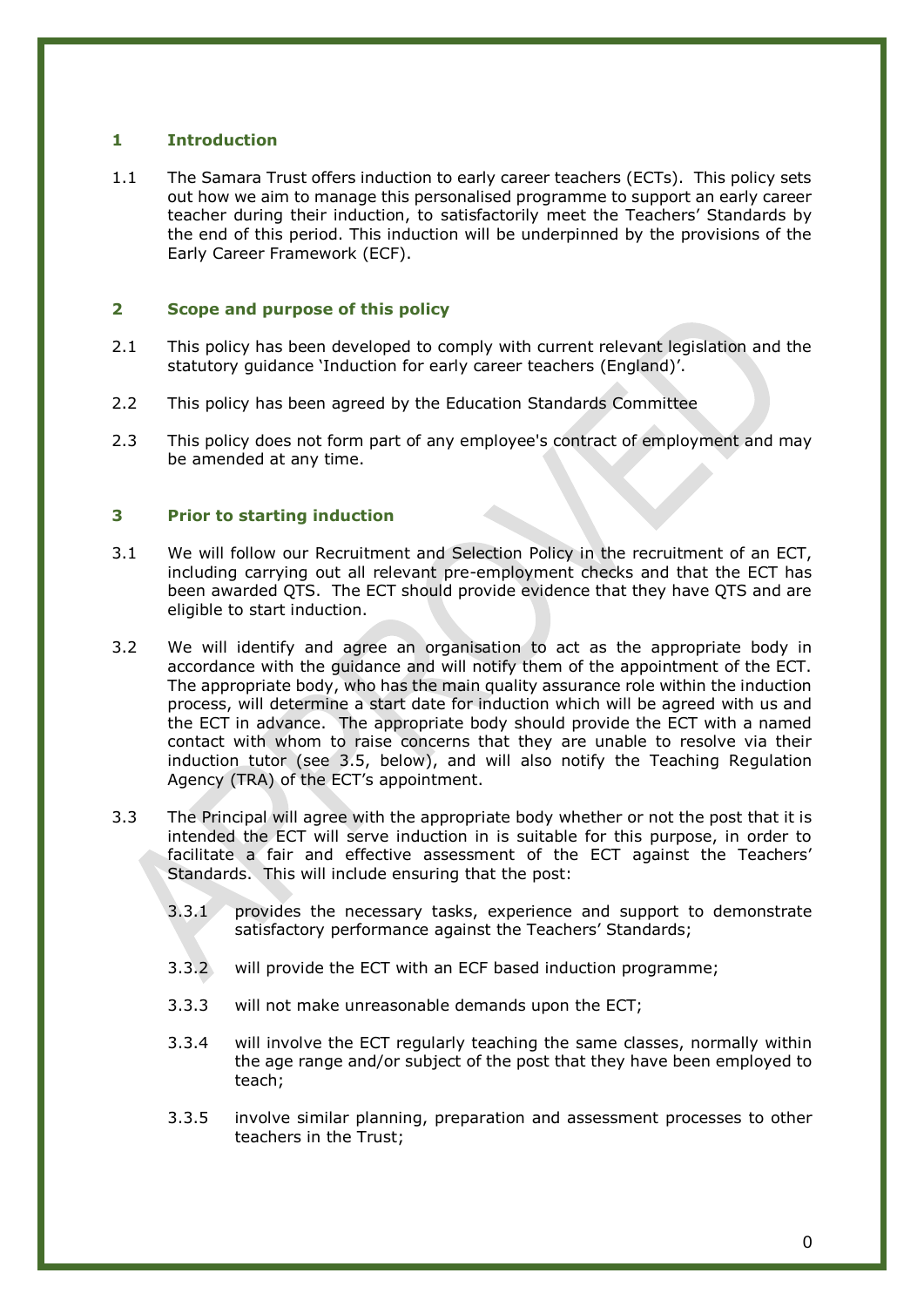# <span id="page-3-0"></span>**1 Introduction**

<span id="page-3-1"></span>1.1 The Samara Trust offers induction to early career teachers (ECTs). This policy sets out how we aim to manage this personalised programme to support an early career teacher during their induction, to satisfactorily meet the Teachers' Standards by the end of this period. This induction will be underpinned by the provisions of the Early Career Framework (ECF).

# **2 Scope and purpose of this policy**

- 2.1 This policy has been developed to comply with current relevant legislation and the statutory guidance 'Induction for early career teachers (England)'.
- <span id="page-3-2"></span>2.2 This policy has been agreed by the Education Standards Committee
- 2.3 This policy does not form part of any employee's contract of employment and may be amended at any time.

# **3 Prior to starting induction**

- 3.1 We will follow our Recruitment and Selection Policy in the recruitment of an ECT, including carrying out all relevant pre-employment checks and that the ECT has been awarded QTS. The ECT should provide evidence that they have QTS and are eligible to start induction.
- 3.2 We will identify and agree an organisation to act as the appropriate body in accordance with the guidance and will notify them of the appointment of the ECT. The appropriate body, who has the main quality assurance role within the induction process, will determine a start date for induction which will be agreed with us and the ECT in advance. The appropriate body should provide the ECT with a named contact with whom to raise concerns that they are unable to resolve via their induction tutor (see 3.5, below), and will also notify the Teaching Regulation Agency (TRA) of the ECT's appointment.
- 3.3 The Principal will agree with the appropriate body whether or not the post that it is intended the ECT will serve induction in is suitable for this purpose, in order to facilitate a fair and effective assessment of the ECT against the Teachers' Standards. This will include ensuring that the post:
	- 3.3.1 provides the necessary tasks, experience and support to demonstrate satisfactory performance against the Teachers' Standards;
	- 3.3.2 will provide the ECT with an ECF based induction programme;
	- 3.3.3 will not make unreasonable demands upon the ECT;
	- 3.3.4 will involve the ECT regularly teaching the same classes, normally within the age range and/or subject of the post that they have been employed to teach;
	- 3.3.5 involve similar planning, preparation and assessment processes to other teachers in the Trust;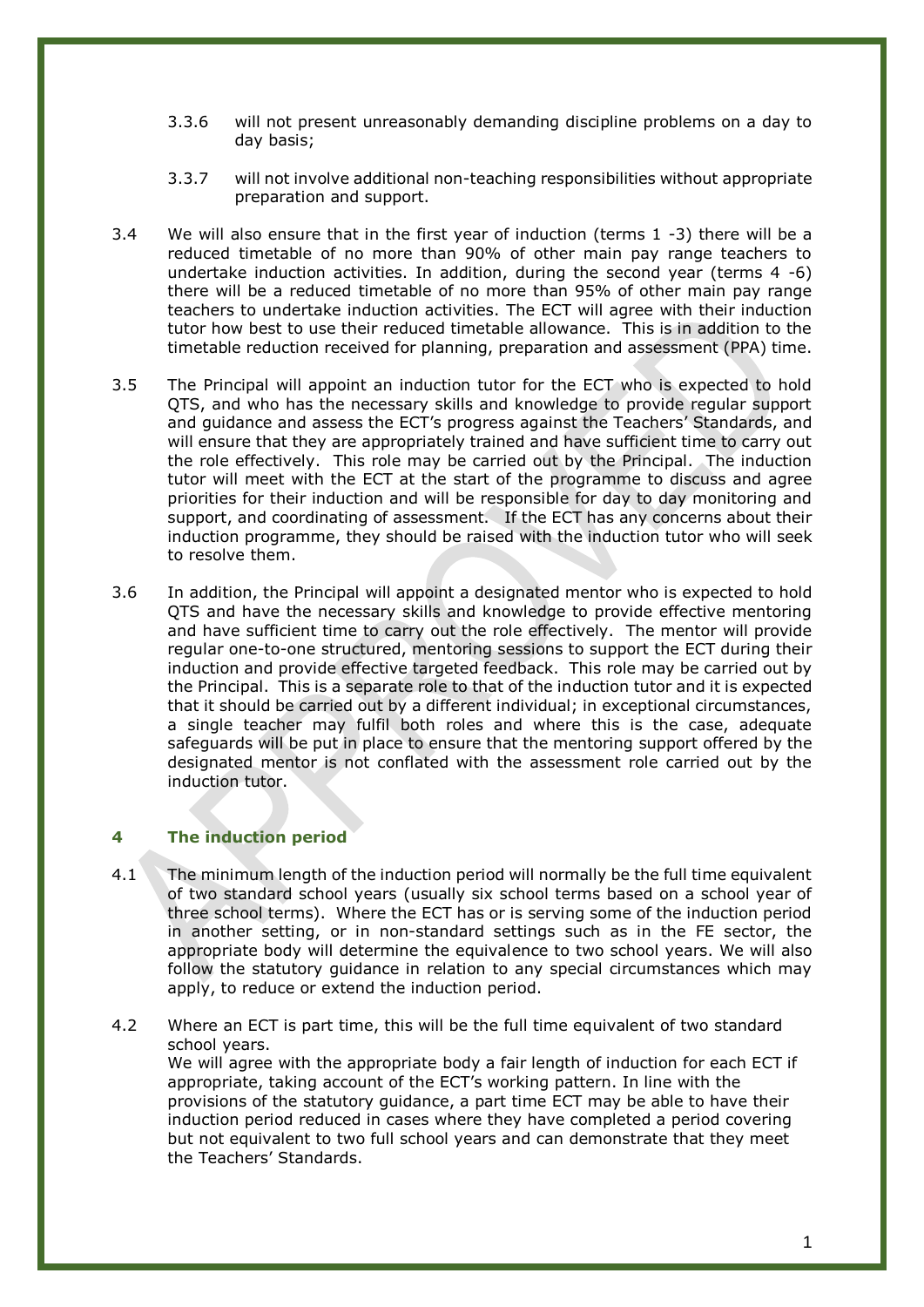- 3.3.6 will not present unreasonably demanding discipline problems on a day to day basis;
- 3.3.7 will not involve additional non-teaching responsibilities without appropriate preparation and support.
- 3.4 We will also ensure that in the first year of induction (terms 1 -3) there will be a reduced timetable of no more than 90% of other main pay range teachers to undertake induction activities. In addition, during the second year (terms 4 -6) there will be a reduced timetable of no more than 95% of other main pay range teachers to undertake induction activities. The ECT will agree with their induction tutor how best to use their reduced timetable allowance. This is in addition to the timetable reduction received for planning, preparation and assessment (PPA) time.
- 3.5 The Principal will appoint an induction tutor for the ECT who is expected to hold QTS, and who has the necessary skills and knowledge to provide regular support and guidance and assess the ECT's progress against the Teachers' Standards, and will ensure that they are appropriately trained and have sufficient time to carry out the role effectively. This role may be carried out by the Principal. The induction tutor will meet with the ECT at the start of the programme to discuss and agree priorities for their induction and will be responsible for day to day monitoring and support, and coordinating of assessment. If the ECT has any concerns about their induction programme, they should be raised with the induction tutor who will seek to resolve them.
- 3.6 In addition, the Principal will appoint a designated mentor who is expected to hold QTS and have the necessary skills and knowledge to provide effective mentoring and have sufficient time to carry out the role effectively. The mentor will provide regular one-to-one structured, mentoring sessions to support the ECT during their induction and provide effective targeted feedback. This role may be carried out by the Principal. This is a separate role to that of the induction tutor and it is expected that it should be carried out by a different individual; in exceptional circumstances, a single teacher may fulfil both roles and where this is the case, adequate safeguards will be put in place to ensure that the mentoring support offered by the designated mentor is not conflated with the assessment role carried out by the induction tutor.

# <span id="page-4-0"></span>**4 The induction period**

- 4.1 The minimum length of the induction period will normally be the full time equivalent of two standard school years (usually six school terms based on a school year of three school terms). Where the ECT has or is serving some of the induction period in another setting, or in non-standard settings such as in the FE sector, the appropriate body will determine the equivalence to two school years. We will also follow the statutory guidance in relation to any special circumstances which may apply, to reduce or extend the induction period.
- 4.2 Where an ECT is part time, this will be the full time equivalent of two standard school years. We will agree with the appropriate body a fair length of induction for each ECT if appropriate, taking account of the ECT's working pattern. In line with the provisions of the statutory guidance, a part time ECT may be able to have their induction period reduced in cases where they have completed a period covering but not equivalent to two full school years and can demonstrate that they meet the Teachers' Standards.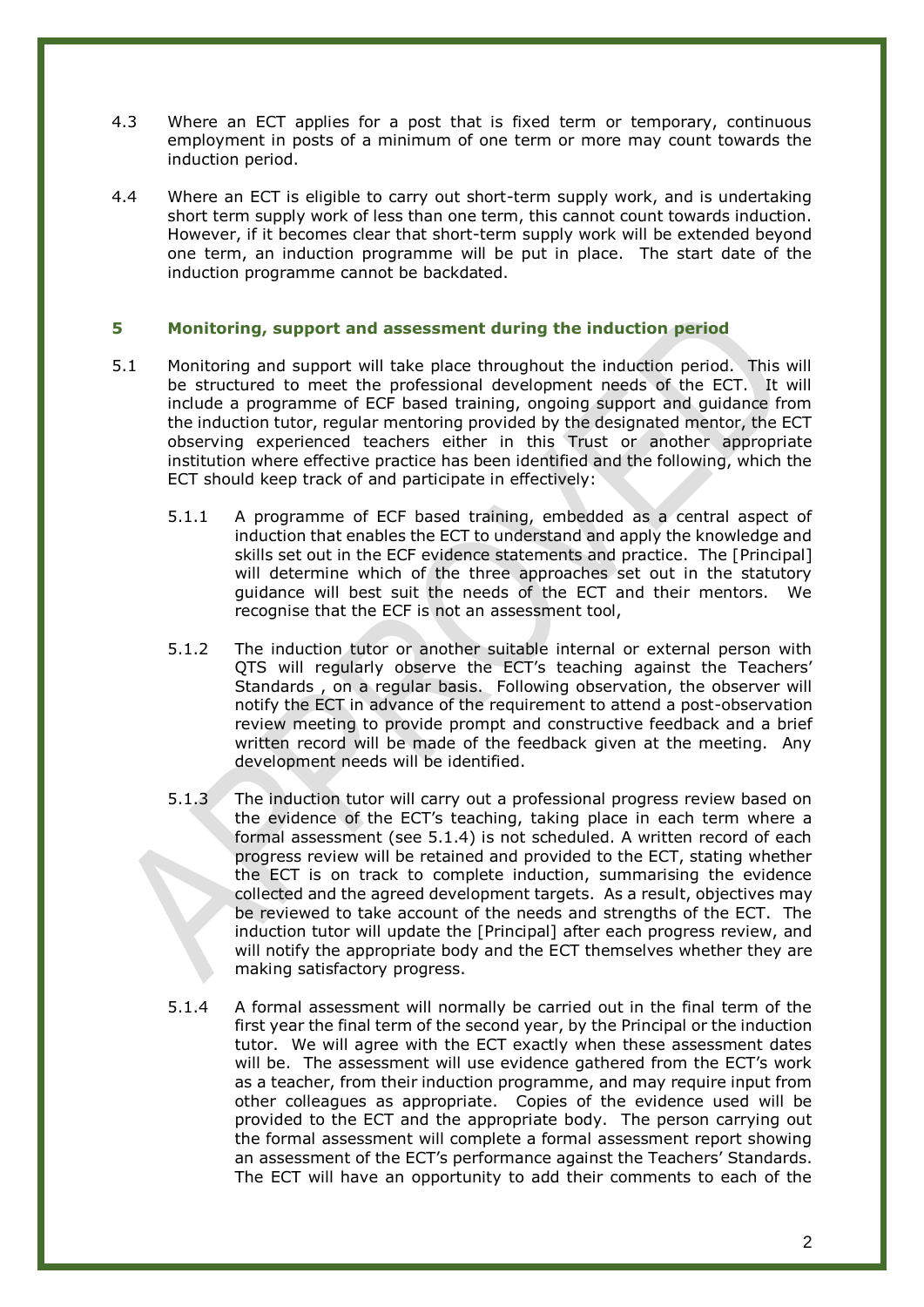- 4.3 Where an ECT applies for a post that is fixed term or temporary, continuous employment in posts of a minimum of one term or more may count towards the induction period.
- <span id="page-5-0"></span>4.4 Where an ECT is eligible to carry out short-term supply work, and is undertaking short term supply work of less than one term, this cannot count towards induction. However, if it becomes clear that short-term supply work will be extended beyond one term, an induction programme will be put in place. The start date of the induction programme cannot be backdated.

# **5 Monitoring, support and assessment during the induction period**

- 5.1 Monitoring and support will take place throughout the induction period. This will be structured to meet the professional development needs of the ECT. It will include a programme of ECF based training, ongoing support and guidance from the induction tutor, regular mentoring provided by the designated mentor, the ECT observing experienced teachers either in this Trust or another appropriate institution where effective practice has been identified and the following, which the ECT should keep track of and participate in effectively:
	- 5.1.1 A programme of ECF based training, embedded as a central aspect of induction that enables the ECT to understand and apply the knowledge and skills set out in the ECF evidence statements and practice. The [Principal] will determine which of the three approaches set out in the statutory guidance will best suit the needs of the ECT and their mentors. We recognise that the ECF is not an assessment tool,
	- 5.1.2 The induction tutor or another suitable internal or external person with QTS will regularly observe the ECT's teaching against the Teachers' Standards , on a regular basis. Following observation, the observer will notify the ECT in advance of the requirement to attend a post-observation review meeting to provide prompt and constructive feedback and a brief written record will be made of the feedback given at the meeting. Any development needs will be identified.
	- 5.1.3 The induction tutor will carry out a professional progress review based on the evidence of the ECT's teaching, taking place in each term where a formal assessment (see 5.1.4) is not scheduled. A written record of each progress review will be retained and provided to the ECT, stating whether the ECT is on track to complete induction, summarising the evidence collected and the agreed development targets. As a result, objectives may be reviewed to take account of the needs and strengths of the ECT. The induction tutor will update the [Principal] after each progress review, and will notify the appropriate body and the ECT themselves whether they are making satisfactory progress.
	- 5.1.4 A formal assessment will normally be carried out in the final term of the first year the final term of the second year, by the Principal or the induction tutor. We will agree with the ECT exactly when these assessment dates will be. The assessment will use evidence gathered from the ECT's work as a teacher, from their induction programme, and may require input from other colleagues as appropriate. Copies of the evidence used will be provided to the ECT and the appropriate body. The person carrying out the formal assessment will complete a formal assessment report showing an assessment of the ECT's performance against the Teachers' Standards. The ECT will have an opportunity to add their comments to each of the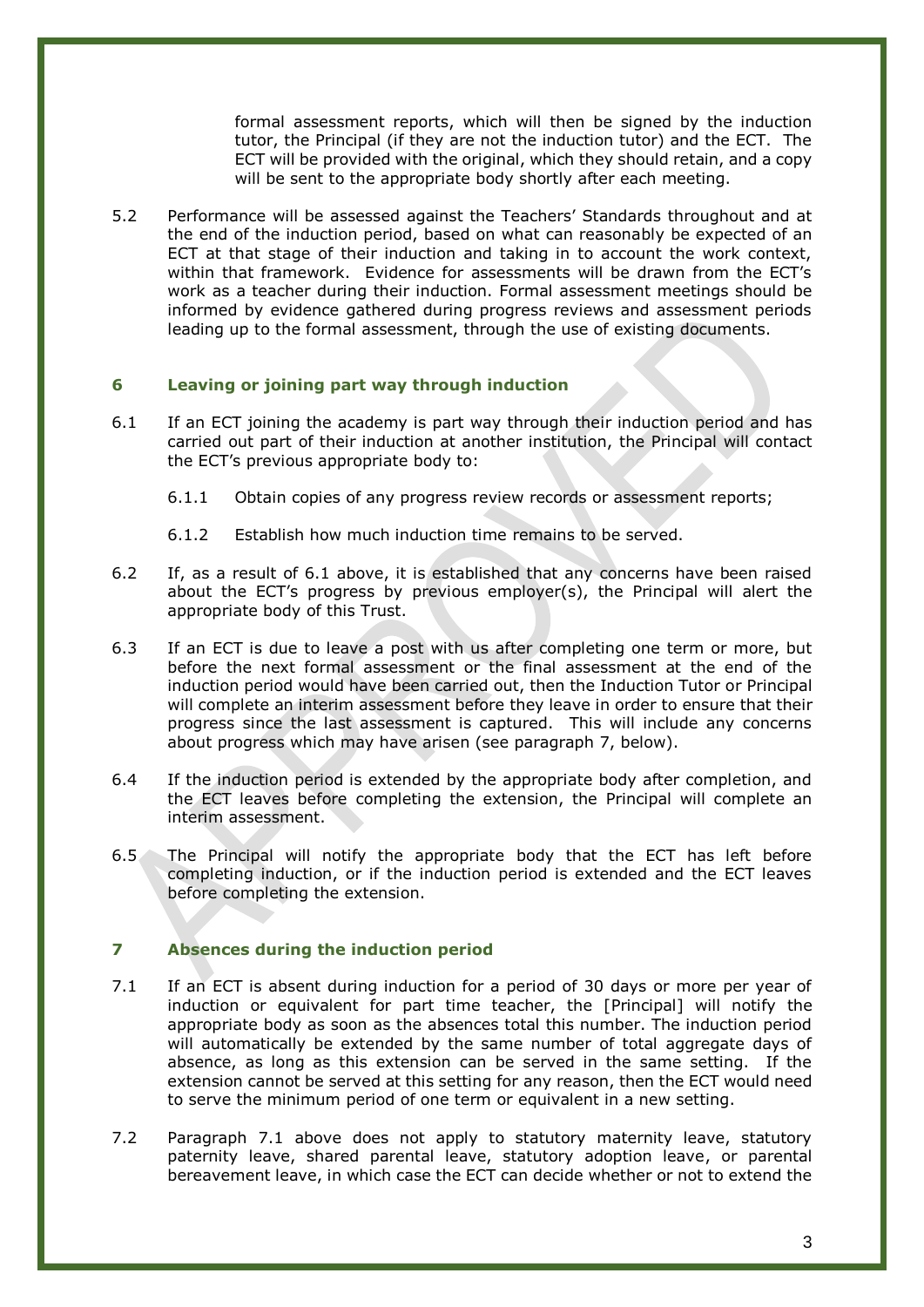formal assessment reports, which will then be signed by the induction tutor, the Principal (if they are not the induction tutor) and the ECT. The ECT will be provided with the original, which they should retain, and a copy will be sent to the appropriate body shortly after each meeting.

<span id="page-6-0"></span>5.2 Performance will be assessed against the Teachers' Standards throughout and at the end of the induction period, based on what can reasonably be expected of an ECT at that stage of their induction and taking in to account the work context, within that framework. Evidence for assessments will be drawn from the ECT's work as a teacher during their induction. Formal assessment meetings should be informed by evidence gathered during progress reviews and assessment periods leading up to the formal assessment, through the use of existing documents.

## **6 Leaving or joining part way through induction**

- 6.1 If an ECT joining the academy is part way through their induction period and has carried out part of their induction at another institution, the Principal will contact the ECT's previous appropriate body to:
	- 6.1.1 Obtain copies of any progress review records or assessment reports;
	- 6.1.2 Establish how much induction time remains to be served.
- 6.2 If, as a result of 6.1 above, it is established that any concerns have been raised about the ECT's progress by previous employer(s), the Principal will alert the appropriate body of this Trust.
- 6.3 If an ECT is due to leave a post with us after completing one term or more, but before the next formal assessment or the final assessment at the end of the induction period would have been carried out, then the Induction Tutor or Principal will complete an interim assessment before they leave in order to ensure that their progress since the last assessment is captured. This will include any concerns about progress which may have arisen (see paragraph 7, below).
- 6.4 If the induction period is extended by the appropriate body after completion, and the ECT leaves before completing the extension, the Principal will complete an interim assessment.
- <span id="page-6-1"></span>6.5 The Principal will notify the appropriate body that the ECT has left before completing induction, or if the induction period is extended and the ECT leaves before completing the extension.

# **7 Absences during the induction period**

- 7.1 If an ECT is absent during induction for a period of 30 days or more per year of induction or equivalent for part time teacher, the [Principal] will notify the appropriate body as soon as the absences total this number. The induction period will automatically be extended by the same number of total aggregate days of absence, as long as this extension can be served in the same setting. If the extension cannot be served at this setting for any reason, then the ECT would need to serve the minimum period of one term or equivalent in a new setting.
- 7.2 Paragraph 7.1 above does not apply to statutory maternity leave, statutory paternity leave, shared parental leave, statutory adoption leave, or parental bereavement leave, in which case the ECT can decide whether or not to extend the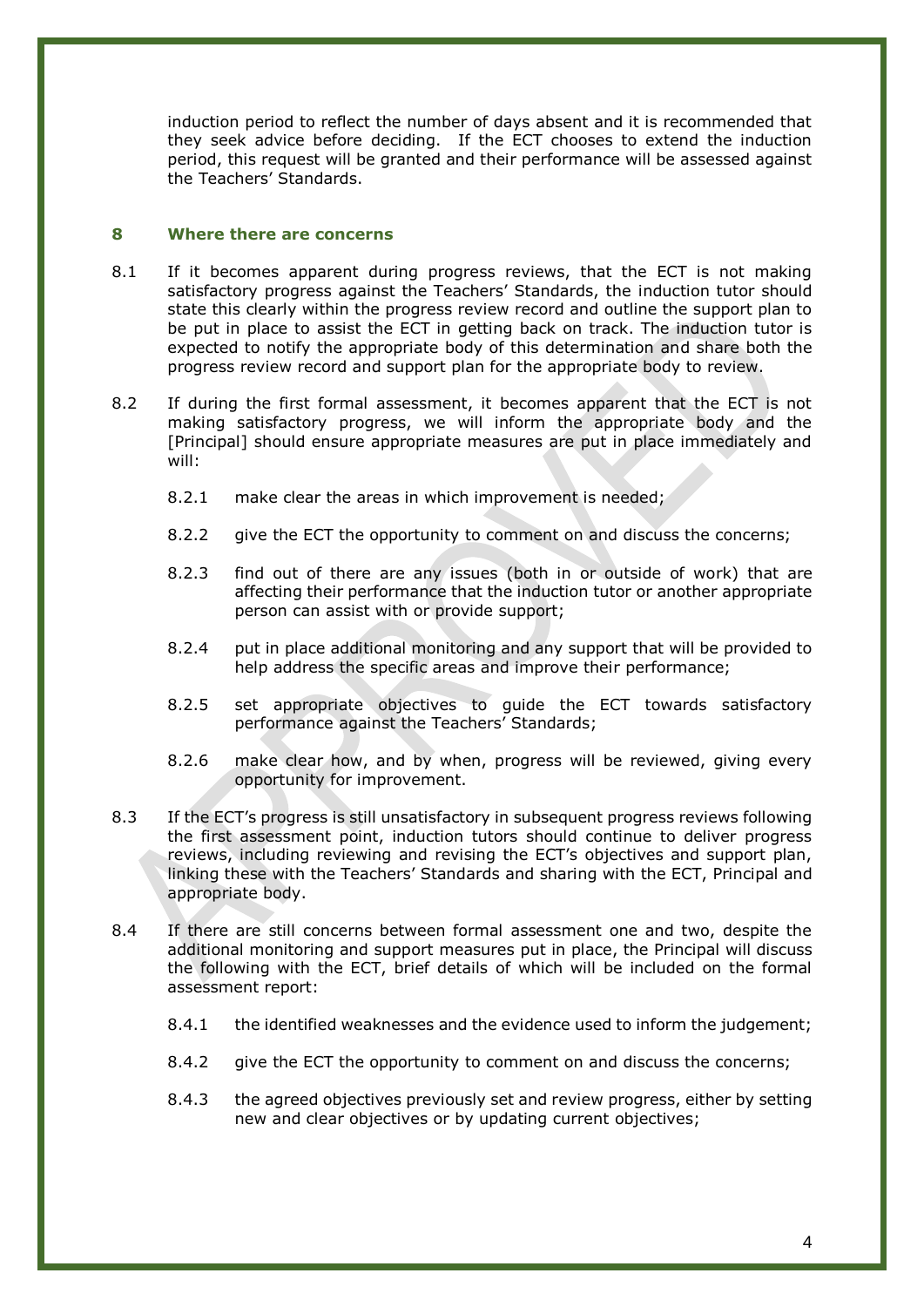<span id="page-7-0"></span>induction period to reflect the number of days absent and it is recommended that they seek advice before deciding. If the ECT chooses to extend the induction period, this request will be granted and their performance will be assessed against the Teachers' Standards.

# **8 Where there are concerns**

- 8.1 If it becomes apparent during progress reviews, that the ECT is not making satisfactory progress against the Teachers' Standards, the induction tutor should state this clearly within the progress review record and outline the support plan to be put in place to assist the ECT in getting back on track. The induction tutor is expected to notify the appropriate body of this determination and share both the progress review record and support plan for the appropriate body to review.
- 8.2 If during the first formal assessment, it becomes apparent that the ECT is not making satisfactory progress, we will inform the appropriate body and the [Principal] should ensure appropriate measures are put in place immediately and will:
	- 8.2.1 make clear the areas in which improvement is needed;
	- 8.2.2 give the ECT the opportunity to comment on and discuss the concerns;
	- 8.2.3 find out of there are any issues (both in or outside of work) that are affecting their performance that the induction tutor or another appropriate person can assist with or provide support;
	- 8.2.4 put in place additional monitoring and any support that will be provided to help address the specific areas and improve their performance;
	- 8.2.5 set appropriate objectives to guide the ECT towards satisfactory performance against the Teachers' Standards;
	- 8.2.6 make clear how, and by when, progress will be reviewed, giving every opportunity for improvement.
- 8.3 If the ECT's progress is still unsatisfactory in subsequent progress reviews following the first assessment point, induction tutors should continue to deliver progress reviews, including reviewing and revising the ECT's objectives and support plan, linking these with the Teachers' Standards and sharing with the ECT, Principal and appropriate body.
- 8.4 If there are still concerns between formal assessment one and two, despite the additional monitoring and support measures put in place, the Principal will discuss the following with the ECT, brief details of which will be included on the formal assessment report:
	- 8.4.1 the identified weaknesses and the evidence used to inform the judgement;
	- 8.4.2 give the ECT the opportunity to comment on and discuss the concerns;
	- 8.4.3 the agreed objectives previously set and review progress, either by setting new and clear objectives or by updating current objectives;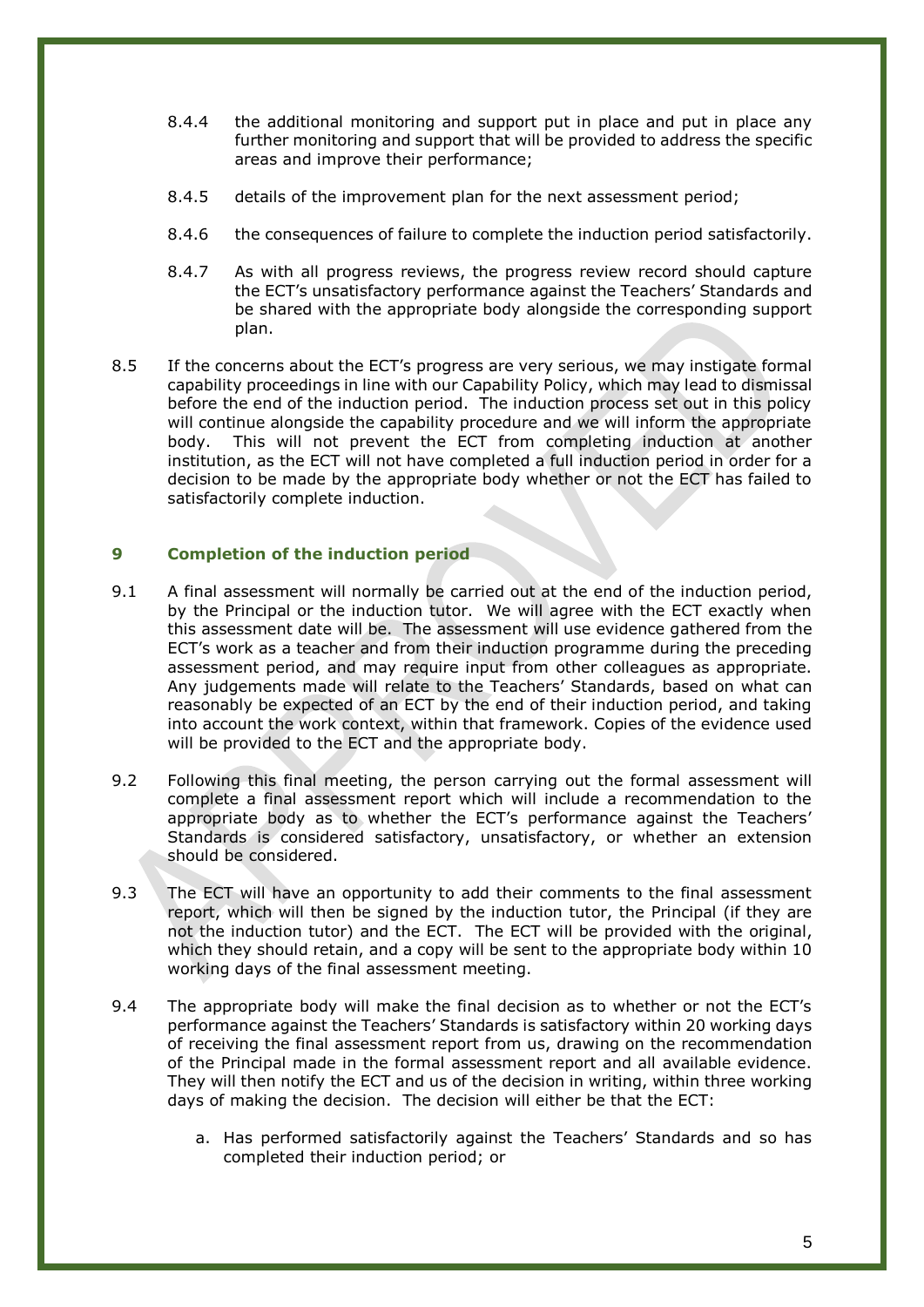- 8.4.4 the additional monitoring and support put in place and put in place any further monitoring and support that will be provided to address the specific areas and improve their performance;
- 8.4.5 details of the improvement plan for the next assessment period;
- 8.4.6 the consequences of failure to complete the induction period satisfactorily.
- 8.4.7 As with all progress reviews, the progress review record should capture the ECT's unsatisfactory performance against the Teachers' Standards and be shared with the appropriate body alongside the corresponding support plan.
- <span id="page-8-0"></span>8.5 If the concerns about the ECT's progress are very serious, we may instigate formal capability proceedings in line with our Capability Policy, which may lead to dismissal before the end of the induction period. The induction process set out in this policy will continue alongside the capability procedure and we will inform the appropriate body. This will not prevent the ECT from completing induction at another institution, as the ECT will not have completed a full induction period in order for a decision to be made by the appropriate body whether or not the ECT has failed to satisfactorily complete induction.

## **9 Completion of the induction period**

- 9.1 A final assessment will normally be carried out at the end of the induction period, by the Principal or the induction tutor. We will agree with the ECT exactly when this assessment date will be. The assessment will use evidence gathered from the ECT's work as a teacher and from their induction programme during the preceding assessment period, and may require input from other colleagues as appropriate. Any judgements made will relate to the Teachers' Standards, based on what can reasonably be expected of an ECT by the end of their induction period, and taking into account the work context, within that framework. Copies of the evidence used will be provided to the ECT and the appropriate body.
- 9.2 Following this final meeting, the person carrying out the formal assessment will complete a final assessment report which will include a recommendation to the appropriate body as to whether the ECT's performance against the Teachers' Standards is considered satisfactory, unsatisfactory, or whether an extension should be considered.
- 9.3 The ECT will have an opportunity to add their comments to the final assessment report, which will then be signed by the induction tutor, the Principal (if they are not the induction tutor) and the ECT. The ECT will be provided with the original, which they should retain, and a copy will be sent to the appropriate body within 10 working days of the final assessment meeting.
- 9.4 The appropriate body will make the final decision as to whether or not the ECT's performance against the Teachers' Standards is satisfactory within 20 working days of receiving the final assessment report from us, drawing on the recommendation of the Principal made in the formal assessment report and all available evidence. They will then notify the ECT and us of the decision in writing, within three working days of making the decision. The decision will either be that the ECT:
	- a. Has performed satisfactorily against the Teachers' Standards and so has completed their induction period; or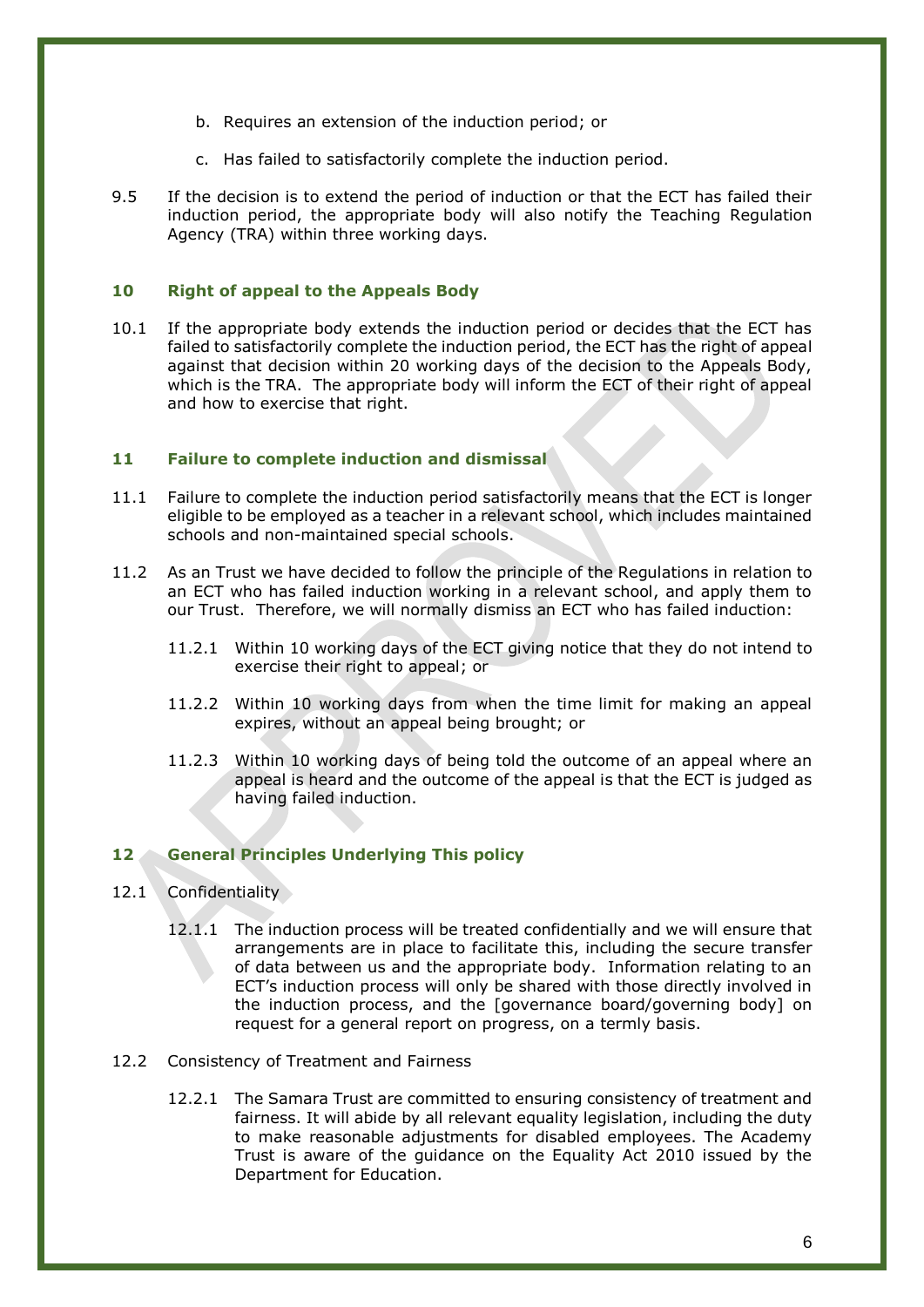- b. Requires an extension of the induction period; or
- c. Has failed to satisfactorily complete the induction period.
- <span id="page-9-0"></span>9.5 If the decision is to extend the period of induction or that the ECT has failed their induction period, the appropriate body will also notify the Teaching Regulation Agency (TRA) within three working days.

### **10 Right of appeal to the Appeals Body**

<span id="page-9-1"></span>10.1 If the appropriate body extends the induction period or decides that the ECT has failed to satisfactorily complete the induction period, the ECT has the right of appeal against that decision within 20 working days of the decision to the Appeals Body, which is the TRA. The appropriate body will inform the ECT of their right of appeal and how to exercise that right.

### **11 Failure to complete induction and dismissal**

- 11.1 Failure to complete the induction period satisfactorily means that the ECT is longer eligible to be employed as a teacher in a relevant school, which includes maintained schools and non-maintained special schools.
- 11.2 As an Trust we have decided to follow the principle of the Regulations in relation to an ECT who has failed induction working in a relevant school, and apply them to our Trust. Therefore, we will normally dismiss an ECT who has failed induction:
	- 11.2.1 Within 10 working days of the ECT giving notice that they do not intend to exercise their right to appeal; or
	- 11.2.2 Within 10 working days from when the time limit for making an appeal expires, without an appeal being brought; or
	- 11.2.3 Within 10 working days of being told the outcome of an appeal where an appeal is heard and the outcome of the appeal is that the ECT is judged as having failed induction.

### <span id="page-9-2"></span>**12 General Principles Underlying This policy**

- 12.1 Confidentiality
	- 12.1.1 The induction process will be treated confidentially and we will ensure that arrangements are in place to facilitate this, including the secure transfer of data between us and the appropriate body. Information relating to an ECT's induction process will only be shared with those directly involved in the induction process, and the [governance board/governing body] on request for a general report on progress, on a termly basis.
- 12.2 Consistency of Treatment and Fairness
	- 12.2.1 The Samara Trust are committed to ensuring consistency of treatment and fairness. It will abide by all relevant equality legislation, including the duty to make reasonable adjustments for disabled employees. The Academy Trust is aware of the guidance on the Equality Act 2010 issued by the Department for Education.